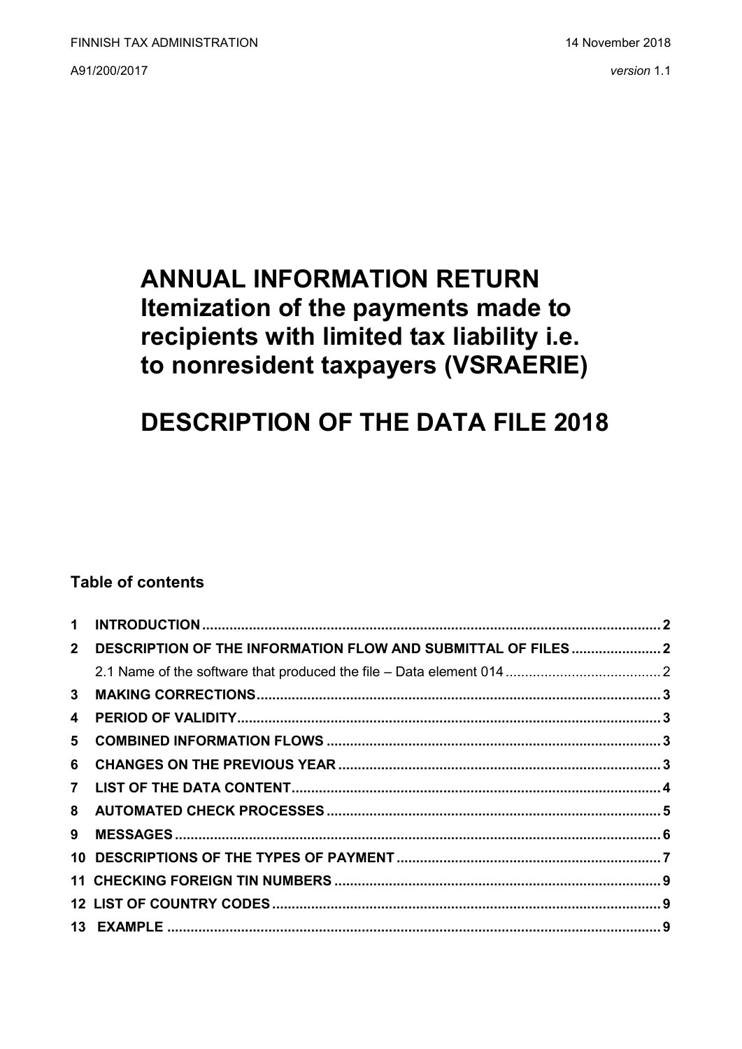A91/200/2017 *version* 1.1

## **ANNUAL INFORMATION RETURN Itemization of the payments made to recipients with limited tax liability i.e. to nonresident taxpayers (VSRAERIE)**

# **DESCRIPTION OF THE DATA FILE 2018**

## **Table of contents**

| $\mathbf 1$    |                                                               |  |
|----------------|---------------------------------------------------------------|--|
| 2 <sup>1</sup> | DESCRIPTION OF THE INFORMATION FLOW AND SUBMITTAL OF FILES  2 |  |
|                |                                                               |  |
| 3              |                                                               |  |
| 4              |                                                               |  |
| 5              |                                                               |  |
| 6              |                                                               |  |
|                |                                                               |  |
|                |                                                               |  |
| 9              |                                                               |  |
|                |                                                               |  |
|                |                                                               |  |
|                |                                                               |  |
|                |                                                               |  |
|                |                                                               |  |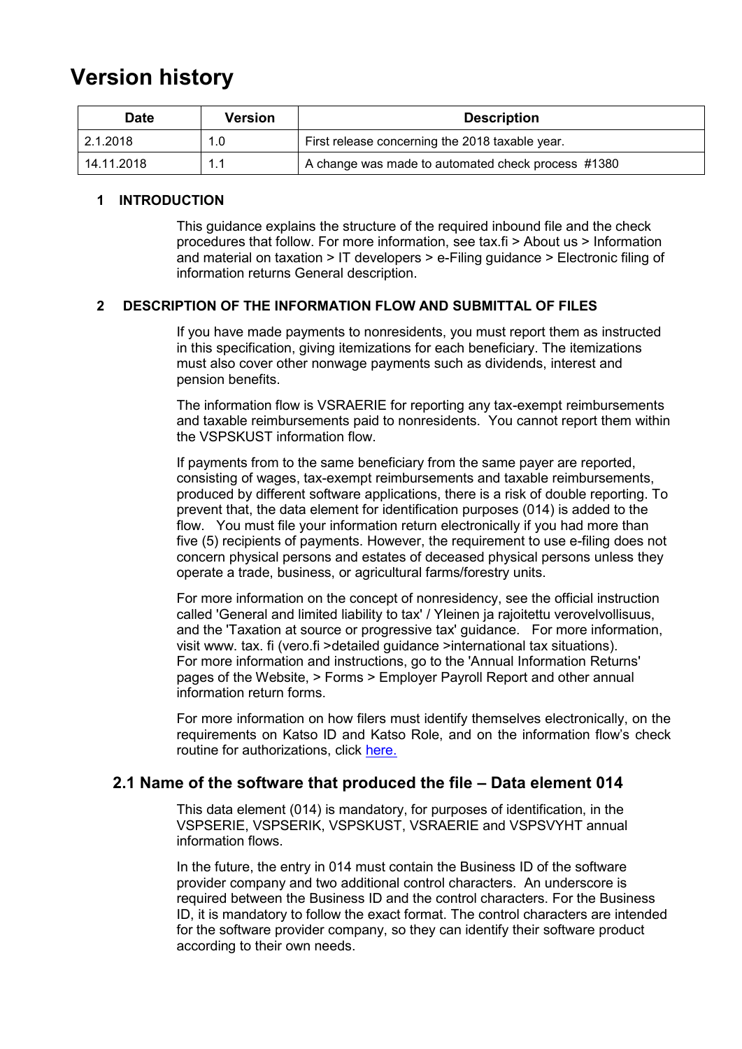## <span id="page-1-0"></span>**Version history**

| <b>Date</b> | Version | <b>Description</b>                                 |
|-------------|---------|----------------------------------------------------|
| 2.1.2018    | 1.0     | First release concerning the 2018 taxable year.    |
| 14.11.2018  | 11      | A change was made to automated check process #1380 |

#### <span id="page-1-1"></span>**1 INTRODUCTION**

This guidance explains the structure of the required inbound file and the check procedures that follow. For more information, see tax.fi > About us > Information and material on taxation > IT developers > e-Filing guidance > Electronic filing of information returns General description.

#### **2 DESCRIPTION OF THE INFORMATION FLOW AND SUBMITTAL OF FILES**

If you have made payments to nonresidents, you must report them as instructed in this specification, giving itemizations for each beneficiary. The itemizations must also cover other nonwage payments such as dividends, interest and pension benefits.

The information flow is VSRAERIE for reporting any tax-exempt reimbursements and taxable reimbursements paid to nonresidents. You cannot report them within the VSPSKUST information flow.

If payments from to the same beneficiary from the same payer are reported, consisting of wages, tax-exempt reimbursements and taxable reimbursements, produced by different software applications, there is a risk of double reporting. To prevent that, the data element for identification purposes (014) is added to the flow. You must file your information return electronically if you had more than five (5) recipients of payments. However, the requirement to use e-filing does not concern physical persons and estates of deceased physical persons unless they operate a trade, business, or agricultural farms/forestry units.

For more information on the concept of nonresidency, see the official instruction called 'General and limited liability to tax' / Yleinen ja rajoitettu verovelvollisuus, and the 'Taxation at source or progressive tax' guidance. For more information, visit www. tax. fi (vero.fi >detailed guidance >international tax situations). For more information and instructions, go to the 'Annual Information Returns' pages of the Website, > Forms > Employer Payroll Report and other annual information return forms.

For more information on how filers must identify themselves electronically, on the requirements on Katso ID and Katso Role, and on the information flow's check routine for authorizations, click [here.](https://www.ilmoitin.fi/webtamo/sivut/IlmoituslajiRoolit?kieli=en&tv=VSAPUUSE)

#### <span id="page-1-2"></span>**2.1 Name of the software that produced the file – Data element 014**

This data element (014) is mandatory, for purposes of identification, in the VSPSERIE, VSPSERIK, VSPSKUST, VSRAERIE and VSPSVYHT annual information flows.

In the future, the entry in 014 must contain the Business ID of the software provider company and two additional control characters. An underscore is required between the Business ID and the control characters. For the Business ID, it is mandatory to follow the exact format. The control characters are intended for the software provider company, so they can identify their software product according to their own needs.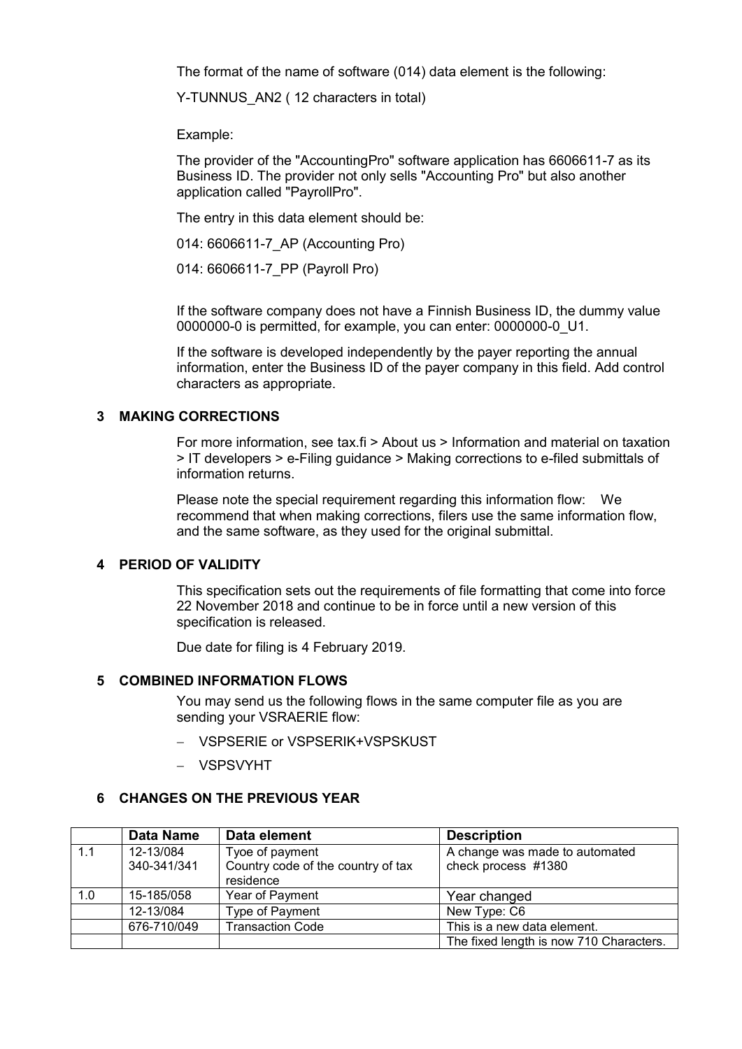The format of the name of software (014) data element is the following:

Y-TUNNUS AN2 ( 12 characters in total)

Example:

The provider of the "AccountingPro" software application has 6606611-7 as its Business ID. The provider not only sells "Accounting Pro" but also another application called "PayrollPro".

The entry in this data element should be:

014: 6606611-7\_AP (Accounting Pro)

014: 6606611-7\_PP (Payroll Pro)

If the software company does not have a Finnish Business ID, the dummy value 0000000-0 is permitted, for example, you can enter: 0000000-0\_U1.

If the software is developed independently by the payer reporting the annual information, enter the Business ID of the payer company in this field. Add control characters as appropriate.

#### <span id="page-2-0"></span>**3 MAKING CORRECTIONS**

For more information, see tax.fi > About us > Information and material on taxation > IT developers > e-Filing guidance > Making corrections to e-filed submittals of information returns.

Please note the special requirement regarding this information flow: We recommend that when making corrections, filers use the same information flow, and the same software, as they used for the original submittal.

#### <span id="page-2-1"></span>**4 PERIOD OF VALIDITY**

This specification sets out the requirements of file formatting that come into force 22 November 2018 and continue to be in force until a new version of this specification is released.

Due date for filing is 4 February 2019.

#### <span id="page-2-2"></span>**5 COMBINED INFORMATION FLOWS**

You may send us the following flows in the same computer file as you are sending your VSRAERIE flow:

- VSPSERIE or VSPSERIK+VSPSKUST
- VSPSVYHT

#### <span id="page-2-3"></span>**6 CHANGES ON THE PREVIOUS YEAR**

|     | <b>Data Name</b> | Data element                       | <b>Description</b>                      |
|-----|------------------|------------------------------------|-----------------------------------------|
| 1.1 | 12-13/084        | Tyoe of payment                    | A change was made to automated          |
|     | 340-341/341      | Country code of the country of tax | check process #1380                     |
|     |                  | residence                          |                                         |
| 1.0 | 15-185/058       | Year of Payment                    | Year changed                            |
|     | 12-13/084        | Type of Payment                    | New Type: C6                            |
|     | 676-710/049      | <b>Transaction Code</b>            | This is a new data element.             |
|     |                  |                                    | The fixed length is now 710 Characters. |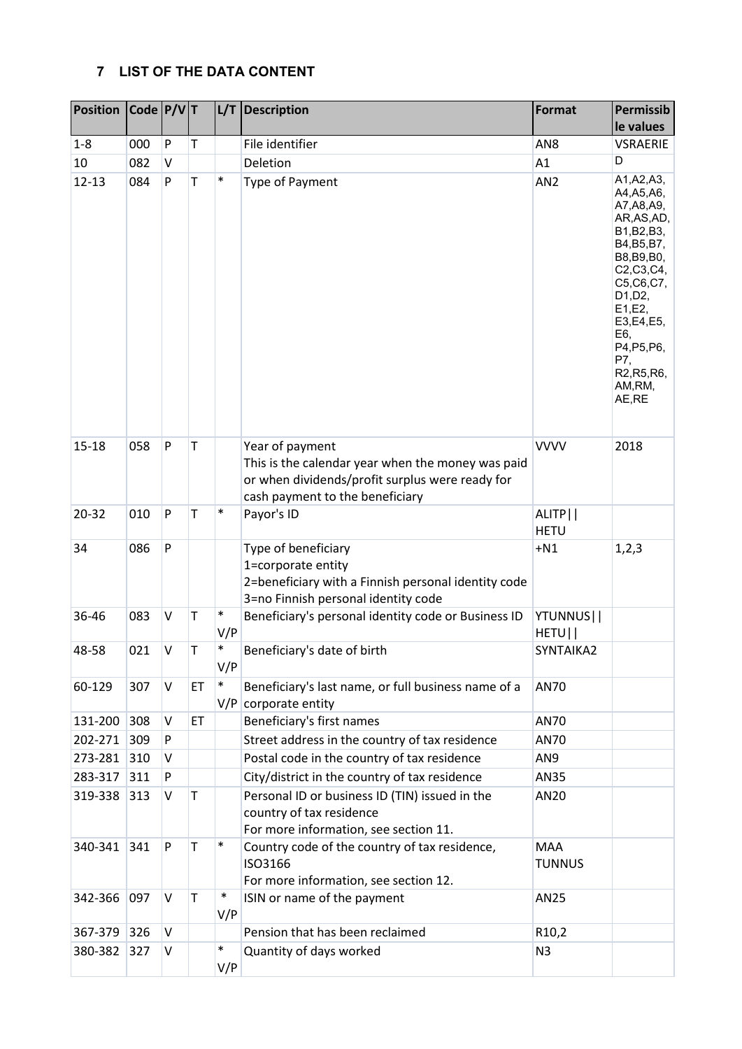## <span id="page-3-0"></span>**7 LIST OF THE DATA CONTENT**

| <b>Position</b> | $\vert$ Code $\vert$ P/V $\vert$ T |         |    | L/T           | Description                                                                                                                                                | <b>Format</b>               | Permissib                                                                                                                                                                                                                                                                    |
|-----------------|------------------------------------|---------|----|---------------|------------------------------------------------------------------------------------------------------------------------------------------------------------|-----------------------------|------------------------------------------------------------------------------------------------------------------------------------------------------------------------------------------------------------------------------------------------------------------------------|
|                 |                                    |         |    |               |                                                                                                                                                            |                             | le values                                                                                                                                                                                                                                                                    |
| $1 - 8$         | 000                                | P       | T  |               | File identifier                                                                                                                                            | AN8                         | <b>VSRAERIE</b>                                                                                                                                                                                                                                                              |
| 10              | 082                                | V       |    |               | Deletion                                                                                                                                                   | A1                          | D                                                                                                                                                                                                                                                                            |
| $12 - 13$       | 084                                | P       | T  | $\ast$        | Type of Payment                                                                                                                                            | AN <sub>2</sub>             | A1, A2, A3,<br>A4, A5, A6,<br>A7, A8, A9,<br>AR, AS, AD,<br>B1, B2, B3,<br>B4, B5, B7,<br>B8, B9, B0,<br>C2, C3, C4,<br>C5, C6, C7,<br>D1, D2,<br>E1, E2,<br>E3,E4,E5,<br>E6,<br>P4, P5, P6,<br>P7,<br>R <sub>2</sub> , R <sub>5</sub> , R <sub>6</sub> ,<br>AM,RM,<br>AE,RE |
| $15 - 18$       | 058                                | P       | T  |               | Year of payment<br>This is the calendar year when the money was paid<br>or when dividends/profit surplus were ready for<br>cash payment to the beneficiary | <b>VVVV</b>                 | 2018                                                                                                                                                                                                                                                                         |
| 20-32           | 010                                | P       | T  | $\ast$        | Payor's ID                                                                                                                                                 | ALITP  <br><b>HETU</b>      |                                                                                                                                                                                                                                                                              |
| 34              | 086                                | P       |    |               | Type of beneficiary<br>1=corporate entity<br>2=beneficiary with a Finnish personal identity code<br>3=no Finnish personal identity code                    | $+N1$                       | 1,2,3                                                                                                                                                                                                                                                                        |
| 36-46           | 083                                | $\sf V$ | T  | $\ast$<br>V/P | Beneficiary's personal identity code or Business ID                                                                                                        | YTUNNUS  <br>HETU           |                                                                                                                                                                                                                                                                              |
| 48-58           | 021                                | V       | Τ  | $\ast$<br>V/P | Beneficiary's date of birth                                                                                                                                | SYNTAIKA2                   |                                                                                                                                                                                                                                                                              |
| 60-129          | 307                                | V       | ET | $\ast$        | Beneficiary's last name, or full business name of a<br>$V/P$ corporate entity                                                                              | <b>AN70</b>                 |                                                                                                                                                                                                                                                                              |
| 131-200         | 308                                | V       | ET |               | Beneficiary's first names                                                                                                                                  | <b>AN70</b>                 |                                                                                                                                                                                                                                                                              |
| 202-271         | 309                                | P       |    |               | Street address in the country of tax residence                                                                                                             | <b>AN70</b>                 |                                                                                                                                                                                                                                                                              |
| 273-281         | 310                                | V       |    |               | Postal code in the country of tax residence                                                                                                                | AN9                         |                                                                                                                                                                                                                                                                              |
| 283-317         | 311                                | P       |    |               | City/district in the country of tax residence                                                                                                              | AN35                        |                                                                                                                                                                                                                                                                              |
| 319-338         | 313                                | V       | T  |               | Personal ID or business ID (TIN) issued in the<br>country of tax residence<br>For more information, see section 11.                                        | AN20                        |                                                                                                                                                                                                                                                                              |
| 340-341         | 341                                | P       | T  | $\ast$        | Country code of the country of tax residence,<br>ISO3166<br>For more information, see section 12.                                                          | <b>MAA</b><br><b>TUNNUS</b> |                                                                                                                                                                                                                                                                              |
| 342-366         | 097                                | V       | T  | $\ast$<br>V/P | ISIN or name of the payment                                                                                                                                | AN25                        |                                                                                                                                                                                                                                                                              |
| 367-379         | 326                                | V       |    |               | Pension that has been reclaimed                                                                                                                            | R <sub>10</sub> ,2          |                                                                                                                                                                                                                                                                              |
| 380-382         | 327                                | V       |    | $\ast$<br>V/P | Quantity of days worked                                                                                                                                    | N <sub>3</sub>              |                                                                                                                                                                                                                                                                              |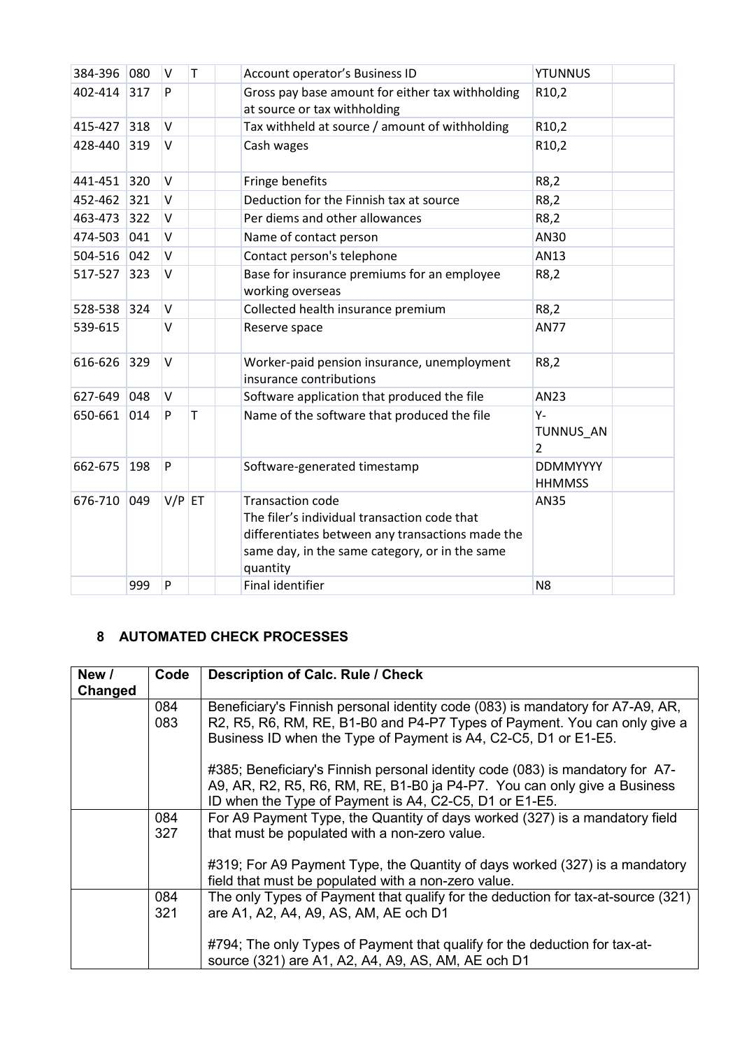| 384-396 080 |     | V        | T      | Account operator's Business ID                                                                                                                                                            | <b>YTUNNUS</b>                   |
|-------------|-----|----------|--------|-------------------------------------------------------------------------------------------------------------------------------------------------------------------------------------------|----------------------------------|
| 402-414     | 317 | P        |        | Gross pay base amount for either tax withholding<br>at source or tax withholding                                                                                                          | R <sub>10</sub> ,2               |
| 415-427 318 |     | $\vee$   |        | Tax withheld at source / amount of withholding                                                                                                                                            | R10,2                            |
| 428-440     | 319 | $\vee$   |        | Cash wages                                                                                                                                                                                | R10,2                            |
| 441-451 320 |     | $\vee$   |        | Fringe benefits                                                                                                                                                                           | R8,2                             |
| 452-462 321 |     | $\vee$   |        | Deduction for the Finnish tax at source                                                                                                                                                   | R8,2                             |
| 463-473 322 |     | $\vee$   |        | Per diems and other allowances                                                                                                                                                            | R8,2                             |
| 474-503     | 041 | V        |        | Name of contact person                                                                                                                                                                    | AN30                             |
| 504-516 042 |     | $\vee$   |        | Contact person's telephone                                                                                                                                                                | AN13                             |
| 517-527 323 |     | $\vee$   |        | Base for insurance premiums for an employee<br>working overseas                                                                                                                           | R8,2                             |
| 528-538 324 |     | $\vee$   |        | Collected health insurance premium                                                                                                                                                        | R8,2                             |
| 539-615     |     | V        |        | Reserve space                                                                                                                                                                             | <b>AN77</b>                      |
| $616 - 626$ | 329 | $\vee$   |        | Worker-paid pension insurance, unemployment<br>insurance contributions                                                                                                                    | R8,2                             |
| 627-649 048 |     | $\vee$   |        | Software application that produced the file                                                                                                                                               | AN23                             |
| 650-661 014 |     | P        | $\top$ | Name of the software that produced the file                                                                                                                                               | Υ-<br>TUNNUS_AN<br>2             |
| 662-675     | 198 | P        |        | Software-generated timestamp                                                                                                                                                              | <b>DDMMYYYY</b><br><b>HHMMSS</b> |
| 676-710     | 049 | $V/P$ ET |        | <b>Transaction code</b><br>The filer's individual transaction code that<br>differentiates between any transactions made the<br>same day, in the same category, or in the same<br>quantity | <b>AN35</b>                      |
|             | 999 | P        |        | <b>Final identifier</b>                                                                                                                                                                   | N <sub>8</sub>                   |

## <span id="page-4-0"></span>**8 AUTOMATED CHECK PROCESSES**

| New /<br>Changed | Code       | <b>Description of Calc. Rule / Check</b>                                                                                                                                                                                       |
|------------------|------------|--------------------------------------------------------------------------------------------------------------------------------------------------------------------------------------------------------------------------------|
|                  | 084<br>083 | Beneficiary's Finnish personal identity code (083) is mandatory for A7-A9, AR,<br>R2, R5, R6, RM, RE, B1-B0 and P4-P7 Types of Payment. You can only give a<br>Business ID when the Type of Payment is A4, C2-C5, D1 or E1-E5. |
|                  |            | #385; Beneficiary's Finnish personal identity code (083) is mandatory for A7-<br>A9, AR, R2, R5, R6, RM, RE, B1-B0 ja P4-P7. You can only give a Business<br>ID when the Type of Payment is A4, C2-C5, D1 or E1-E5.            |
|                  | 084<br>327 | For A9 Payment Type, the Quantity of days worked (327) is a mandatory field<br>that must be populated with a non-zero value.                                                                                                   |
|                  |            | #319; For A9 Payment Type, the Quantity of days worked (327) is a mandatory<br>field that must be populated with a non-zero value.                                                                                             |
|                  | 084<br>321 | The only Types of Payment that qualify for the deduction for tax-at-source (321)<br>are A1, A2, A4, A9, AS, AM, AE och D1                                                                                                      |
|                  |            | #794; The only Types of Payment that qualify for the deduction for tax-at-<br>source (321) are A1, A2, A4, A9, AS, AM, AE och D1                                                                                               |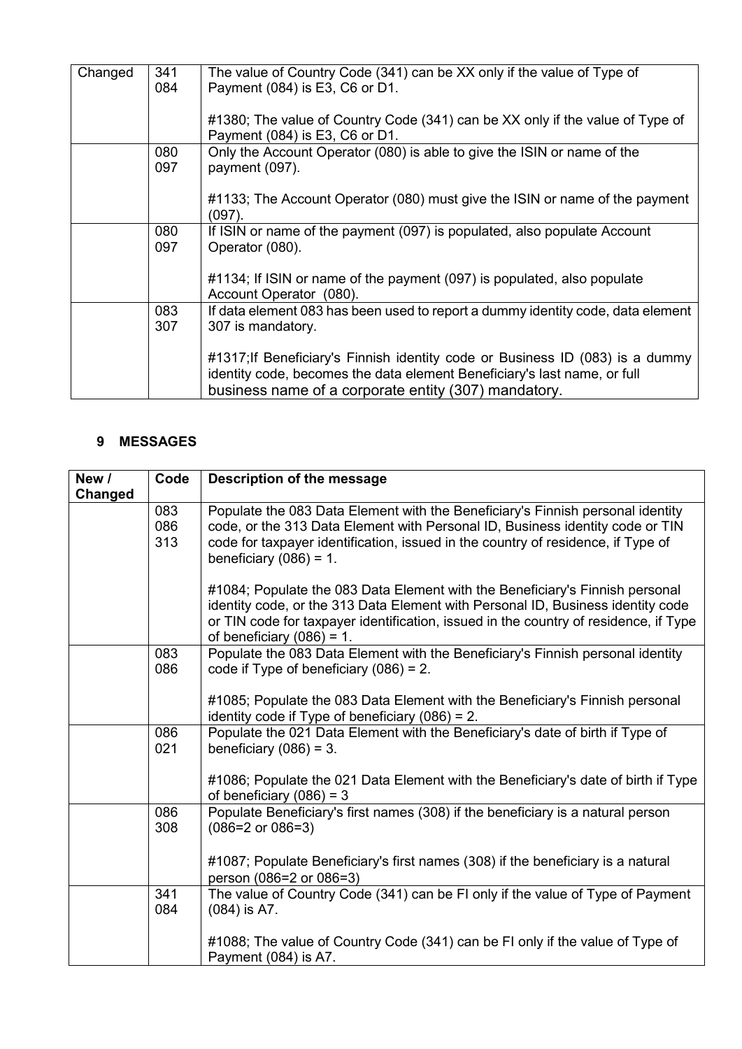| Changed | 341 | The value of Country Code (341) can be XX only if the value of Type of          |
|---------|-----|---------------------------------------------------------------------------------|
|         | 084 | Payment (084) is E3, C6 or D1.                                                  |
|         |     |                                                                                 |
|         |     |                                                                                 |
|         |     | #1380; The value of Country Code (341) can be XX only if the value of Type of   |
|         |     | Payment (084) is E3, C6 or D1.                                                  |
|         |     |                                                                                 |
|         | 080 | Only the Account Operator (080) is able to give the ISIN or name of the         |
|         | 097 | payment (097).                                                                  |
|         |     |                                                                                 |
|         |     |                                                                                 |
|         |     | #1133; The Account Operator (080) must give the ISIN or name of the payment     |
|         |     | $(097)$ .                                                                       |
|         | 080 | If ISIN or name of the payment (097) is populated, also populate Account        |
|         |     |                                                                                 |
|         | 097 | Operator (080).                                                                 |
|         |     |                                                                                 |
|         |     | #1134; If ISIN or name of the payment (097) is populated, also populate         |
|         |     |                                                                                 |
|         |     | Account Operator (080).                                                         |
|         | 083 | If data element 083 has been used to report a dummy identity code, data element |
|         | 307 | 307 is mandatory.                                                               |
|         |     |                                                                                 |
|         |     |                                                                                 |
|         |     | #1317; If Beneficiary's Finnish identity code or Business ID (083) is a dummy   |
|         |     | identity code, becomes the data element Beneficiary's last name, or full        |
|         |     |                                                                                 |
|         |     | business name of a corporate entity (307) mandatory.                            |
|         |     |                                                                                 |

### <span id="page-5-0"></span>**9 MESSAGES**

| New /<br>Changed | Code              | Description of the message                                                                                                                                                                                                                                                              |
|------------------|-------------------|-----------------------------------------------------------------------------------------------------------------------------------------------------------------------------------------------------------------------------------------------------------------------------------------|
|                  | 083<br>086<br>313 | Populate the 083 Data Element with the Beneficiary's Finnish personal identity<br>code, or the 313 Data Element with Personal ID, Business identity code or TIN<br>code for taxpayer identification, issued in the country of residence, if Type of<br>beneficiary $(086) = 1$ .        |
|                  |                   | #1084; Populate the 083 Data Element with the Beneficiary's Finnish personal<br>identity code, or the 313 Data Element with Personal ID, Business identity code<br>or TIN code for taxpayer identification, issued in the country of residence, if Type<br>of beneficiary $(086) = 1$ . |
|                  | 083<br>086        | Populate the 083 Data Element with the Beneficiary's Finnish personal identity<br>code if Type of beneficiary $(086) = 2$ .                                                                                                                                                             |
|                  |                   | #1085; Populate the 083 Data Element with the Beneficiary's Finnish personal<br>identity code if Type of beneficiary $(086) = 2$ .                                                                                                                                                      |
|                  | 086<br>021        | Populate the 021 Data Element with the Beneficiary's date of birth if Type of<br>beneficiary $(086) = 3$ .                                                                                                                                                                              |
|                  |                   | #1086; Populate the 021 Data Element with the Beneficiary's date of birth if Type<br>of beneficiary $(086) = 3$                                                                                                                                                                         |
|                  | 086<br>308        | Populate Beneficiary's first names (308) if the beneficiary is a natural person<br>$(086=2 \text{ or } 086=3)$                                                                                                                                                                          |
|                  |                   | #1087; Populate Beneficiary's first names (308) if the beneficiary is a natural<br>person (086=2 or 086=3)                                                                                                                                                                              |
|                  | 341<br>084        | The value of Country Code (341) can be FI only if the value of Type of Payment<br>$(084)$ is A7.                                                                                                                                                                                        |
|                  |                   | #1088; The value of Country Code (341) can be FI only if the value of Type of<br>Payment (084) is A7.                                                                                                                                                                                   |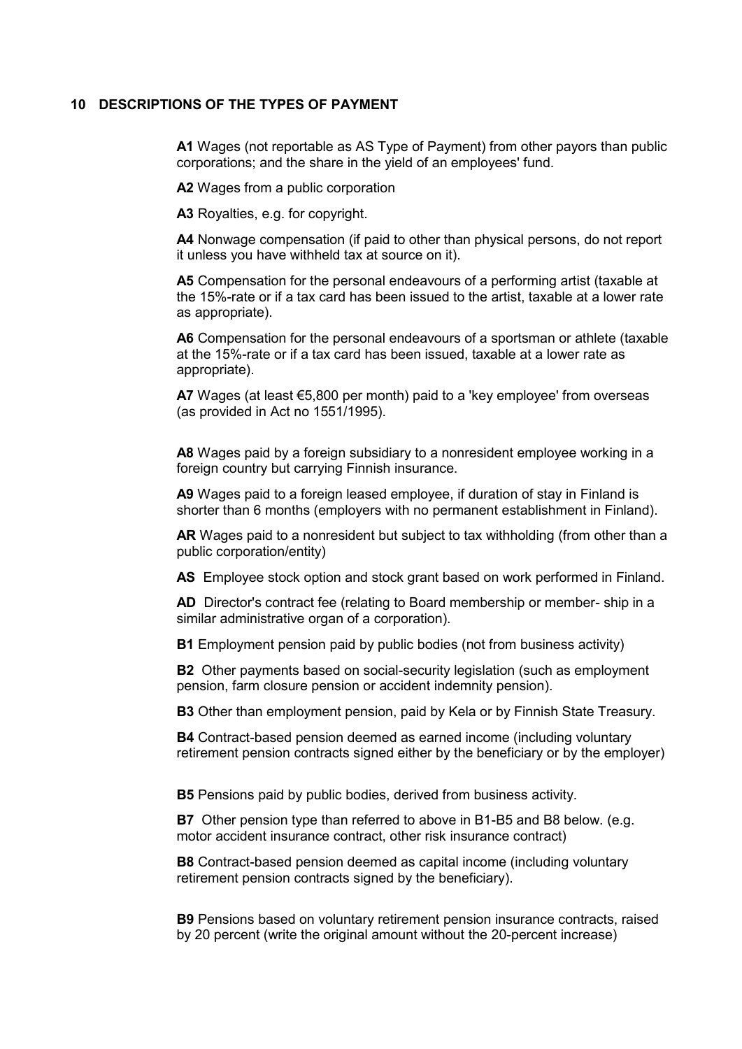#### <span id="page-6-0"></span>**10 DESCRIPTIONS OF THE TYPES OF PAYMENT**

**A1** Wages (not reportable as AS Type of Payment) from other payors than public corporations; and the share in the yield of an employees' fund.

**A2** Wages from a public corporation

**A3** Royalties, e.g. for copyright.

**A4** Nonwage compensation (if paid to other than physical persons, do not report it unless you have withheld tax at source on it).

**A5** Compensation for the personal endeavours of a performing artist (taxable at the 15%-rate or if a tax card has been issued to the artist, taxable at a lower rate as appropriate).

**A6** Compensation for the personal endeavours of a sportsman or athlete (taxable at the 15%-rate or if a tax card has been issued, taxable at a lower rate as appropriate).

**A7** Wages (at least €5,800 per month) paid to a 'key employee' from overseas (as provided in Act no 1551/1995).

**A8** Wages paid by a foreign subsidiary to a nonresident employee working in a foreign country but carrying Finnish insurance.

**A9** Wages paid to a foreign leased employee, if duration of stay in Finland is shorter than 6 months (employers with no permanent establishment in Finland).

**AR** Wages paid to a nonresident but subject to tax withholding (from other than a public corporation/entity)

**AS** Employee stock option and stock grant based on work performed in Finland.

**AD** Director's contract fee (relating to Board membership or member- ship in a similar administrative organ of a corporation).

**B1** Employment pension paid by public bodies (not from business activity)

**B2** Other payments based on social-security legislation (such as employment pension, farm closure pension or accident indemnity pension).

**B3** Other than employment pension, paid by Kela or by Finnish State Treasury.

**B4** Contract-based pension deemed as earned income (including voluntary retirement pension contracts signed either by the beneficiary or by the employer)

**B5** Pensions paid by public bodies, derived from business activity.

**B7** Other pension type than referred to above in B1-B5 and B8 below. (e.g. motor accident insurance contract, other risk insurance contract)

**B8** Contract-based pension deemed as capital income (including voluntary retirement pension contracts signed by the beneficiary).

**B9** Pensions based on voluntary retirement pension insurance contracts, raised by 20 percent (write the original amount without the 20-percent increase)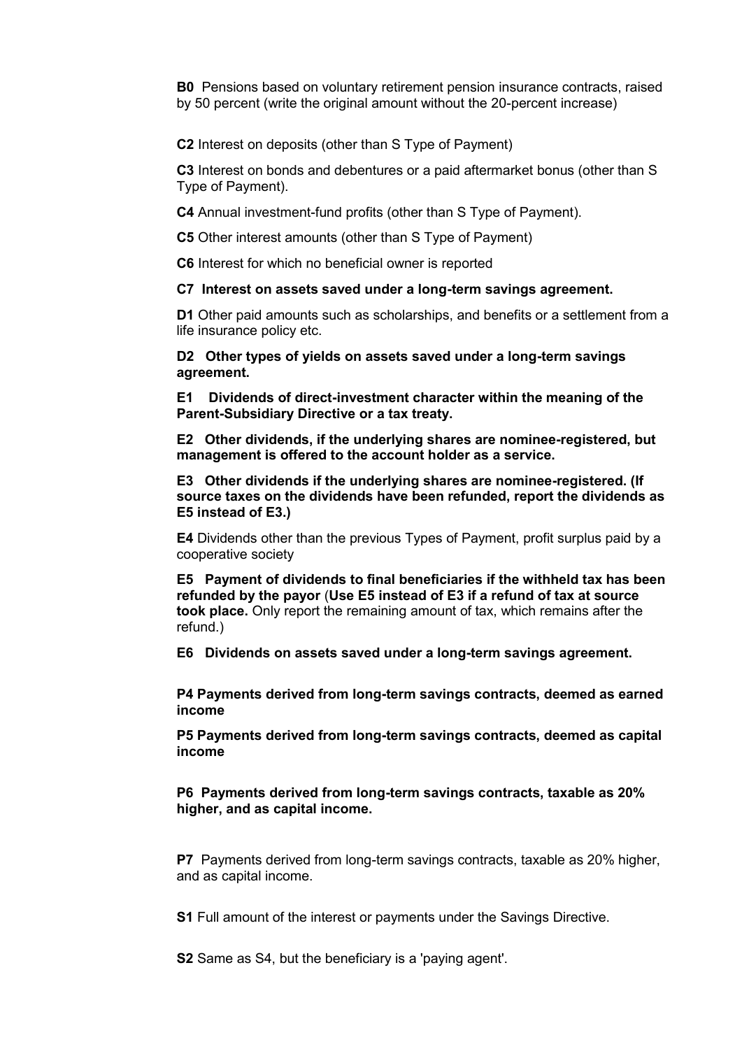**B0** Pensions based on voluntary retirement pension insurance contracts, raised by 50 percent (write the original amount without the 20-percent increase)

**C2** Interest on deposits (other than S Type of Payment)

**C3** Interest on bonds and debentures or a paid aftermarket bonus (other than S Type of Payment).

**C4** Annual investment-fund profits (other than S Type of Payment).

**C5** Other interest amounts (other than S Type of Payment)

**C6** Interest for which no beneficial owner is reported

**C7 Interest on assets saved under a long-term savings agreement.**

**D1** Other paid amounts such as scholarships, and benefits or a settlement from a life insurance policy etc.

**D2 Other types of yields on assets saved under a long-term savings agreement.**

**E1 Dividends of direct-investment character within the meaning of the Parent-Subsidiary Directive or a tax treaty.**

**E2 Other dividends, if the underlying shares are nominee-registered, but management is offered to the account holder as a service.**

**E3 Other dividends if the underlying shares are nominee-registered. (If source taxes on the dividends have been refunded, report the dividends as E5 instead of E3.)**

**E4** Dividends other than the previous Types of Payment, profit surplus paid by a cooperative society

**E5 Payment of dividends to final beneficiaries if the withheld tax has been refunded by the payor** (**Use E5 instead of E3 if a refund of tax at source took place.** Only report the remaining amount of tax, which remains after the refund.)

**E6 Dividends on assets saved under a long-term savings agreement.**

**P4 Payments derived from long-term savings contracts, deemed as earned income**

**P5 Payments derived from long-term savings contracts, deemed as capital income**

**P6 Payments derived from long-term savings contracts, taxable as 20% higher, and as capital income.** 

**P7** Payments derived from long-term savings contracts, taxable as 20% higher, and as capital income.

**S1** Full amount of the interest or payments under the Savings Directive.

**S2** Same as S4, but the beneficiary is a 'paying agent'.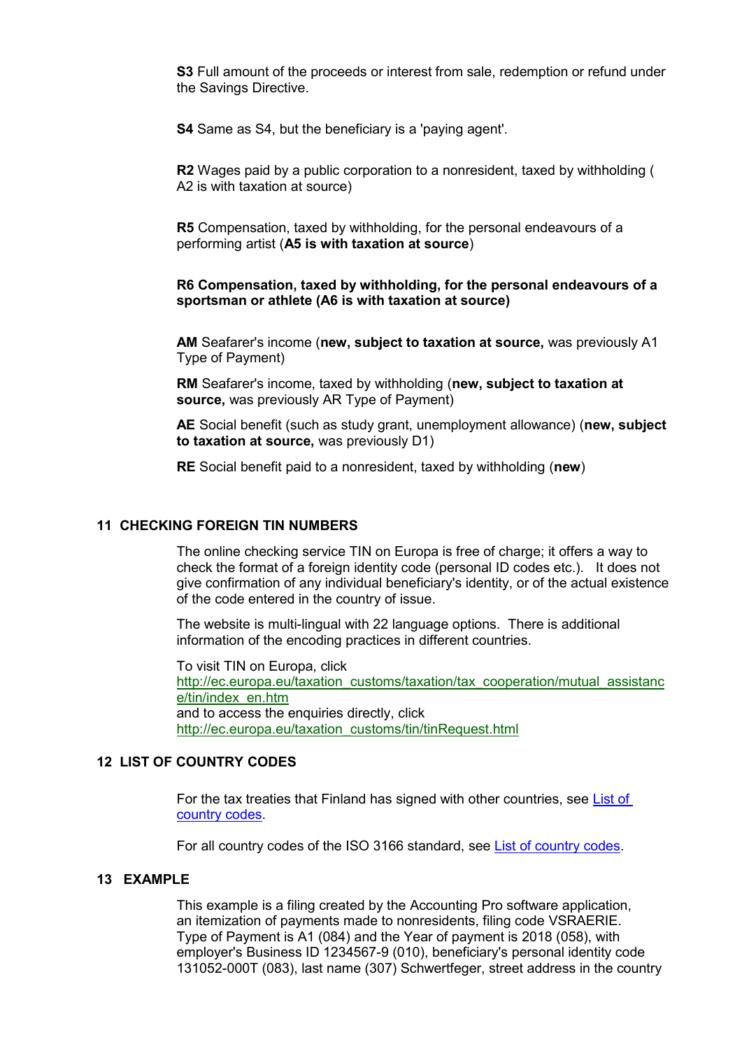**S3** Full amount of the proceeds or interest from sale, redemption or refund under the Savings Directive.

**S4** Same as S4, but the beneficiary is a 'paying agent'.

**R2** Wages paid by a public corporation to a nonresident, taxed by withholding ( A2 is with taxation at source)

**R5** Compensation, taxed by withholding, for the personal endeavours of a performing artist (**A5 is with taxation at source**)

#### **R6 Compensation, taxed by withholding, for the personal endeavours of a sportsman or athlete (A6 is with taxation at source)**

**AM** Seafarer's income (**new, subject to taxation at source,** was previously A1 Type of Payment)

**RM** Seafarer's income, taxed by withholding (**new, subject to taxation at source,** was previously AR Type of Payment)

**AE** Social benefit (such as study grant, unemployment allowance) (**new, subject to taxation at source,** was previously D1)

**RE** Social benefit paid to a nonresident, taxed by withholding (**new**)

#### <span id="page-8-0"></span>**11 CHECKING FOREIGN TIN NUMBERS**

The online checking service TIN on Europa is free of charge; it offers a way to check the format of a foreign identity code (personal ID codes etc.). It does not give confirmation of any individual beneficiary's identity, or of the actual existence of the code entered in the country of issue.

The website is multi-lingual with 22 language options. There is additional information of the encoding practices in different countries.

To visit TIN on Europa, click http://ec.europa.eu/taxation\_customs/taxation/tax\_cooperation/mutual\_assistanc e/tin/index\_en.htm and to access the enquiries directly, click http://ec.europa.eu/taxation\_customs/tin/tinRequest.html

#### <span id="page-8-1"></span>**12 LIST OF COUNTRY CODES**

For the tax treaties that Finland has signed with other countries, see [List of](https://www.ilmoitin.fi/webtamo/sivut/ExcelPohjat?5-1.ILinkListener-apuvalineet-maatunnuslistaus_linkki&kieli=en)  [country codes.](https://www.ilmoitin.fi/webtamo/sivut/ExcelPohjat?5-1.ILinkListener-apuvalineet-maatunnuslistaus_linkki&kieli=en)

For all country codes of the ISO 3166 standard, see [List of country codes.](https://www.ilmoitin.fi/webtamo/sivut/ExcelPohjat?5-1.ILinkListener-apuvalineet-maatunnuslistaus_linkki&kieli=en)

#### <span id="page-8-2"></span>**13 EXAMPLE**

This example is a filing created by the Accounting Pro software application, an itemization of payments made to nonresidents, filing code VSRAERIE. Type of Payment is A1 (084) and the Year of payment is 2018 (058), with employer's Business ID 1234567-9 (010), beneficiary's personal identity code 131052-000T (083), last name (307) Schwertfeger, street address in the country